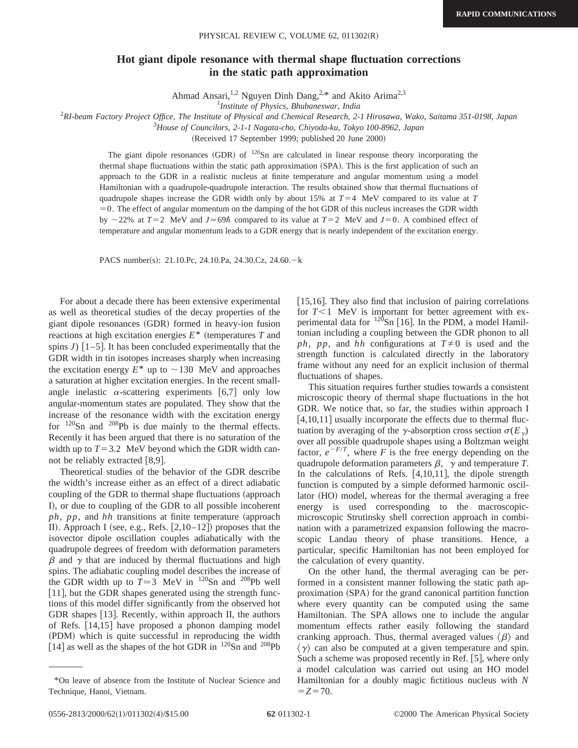## **Hot giant dipole resonance with thermal shape fluctuation corrections in the static path approximation**

Ahmad Ansari,<sup>1,2</sup> Nguyen Dinh Dang,<sup>2,\*</sup> and Akito Arima<sup>2,3</sup>

1 *Institute of Physics, Bhubaneswar, India*

2 *RI-beam Factory Project Office, The Institute of Physical and Chemical Research, 2-1 Hirosawa, Wako, Saitama 351-0198, Japan*

3 *House of Councilors, 2-1-1 Nagata-cho, Chiyoda-ku, Tokyo 100-8962, Japan*

(Received 17 September 1999; published 20 June 2000)

The giant dipole resonances  $(GDR)$  of  $120Sn$  are calculated in linear response theory incorporating the thermal shape fluctuations within the static path approximation (SPA). This is the first application of such an approach to the GDR in a realistic nucleus at finite temperature and angular momentum using a model Hamiltonian with a quadrupole-quadrupole interaction. The results obtained show that thermal fluctuations of quadrupole shapes increase the GDR width only by about 15% at  $T=4$  MeV compared to its value at  $T$  $=0$ . The effect of angular momentum on the damping of the hot GDR of this nucleus increases the GDR width by  $\sim$  22% at *T*=2 MeV and *J* $\simeq$  69 $\hbar$  compared to its value at *T*=2 MeV and *J*=0. A combined effect of temperature and angular momentum leads to a GDR energy that is nearly independent of the excitation energy.

PACS number(s): 21.10.Pc, 24.10.Pa, 24.30.Cz, 24.60. - k

For about a decade there has been extensive experimental as well as theoretical studies of the decay properties of the giant dipole resonances (GDR) formed in heavy-ion fusion reactions at high excitation energies  $E^*$  (temperatures  $T$  and spins  $J$ )  $\left[1-5\right]$ . It has been concluded experimentally that the GDR width in tin isotopes increases sharply when increasing the excitation energy  $E^*$  up to  $\sim$ 130 MeV and approaches a saturation at higher excitation energies. In the recent smallangle inelastic  $\alpha$ -scattering experiments [6,7] only low angular-momentum states are populated. They show that the increase of the resonance width with the excitation energy for  $120$ Sn and  $208$ Pb is due mainly to the thermal effects. Recently it has been argued that there is no saturation of the width up to  $T=3.2$  MeV beyond which the GDR width cannot be reliably extracted  $[8,9]$ .

Theoretical studies of the behavior of the GDR describe the width's increase either as an effect of a direct adiabatic coupling of the GDR to thermal shape fluctuations (approach I), or due to coupling of the GDR to all possible incoherent  $ph, pp, and hh$  transitions at finite temperature (approach II). Approach I (see, e.g., Refs.  $[2,10-12]$ ) proposes that the isovector dipole oscillation couples adiabatically with the quadrupole degrees of freedom with deformation parameters  $\beta$  and  $\gamma$  that are induced by thermal fluctuations and high spins. The adiabatic coupling model describes the increase of the GDR width up to  $T \approx 3$  MeV in <sup>120</sup>Sn and <sup>208</sup>Pb well  $[11]$ , but the GDR shapes generated using the strength functions of this model differ significantly from the observed hot GDR shapes  $[13]$ . Recently, within approach II, the authors of Refs.  $[14,15]$  have proposed a phonon damping model (PDM) which is quite successful in reproducing the width [14] as well as the shapes of the hot GDR in  $^{120}Sn$  and  $^{208}Pb$ 

 $[15,16]$ . They also find that inclusion of pairing correlations for  $T<1$  MeV is important for better agreement with experimental data for  $120$ Sn [16]. In the PDM, a model Hamiltonian including a coupling between the GDR phonon to all *ph*, *pp*, and *hh* configurations at  $T \neq 0$  is used and the strength function is calculated directly in the laboratory frame without any need for an explicit inclusion of thermal fluctuations of shapes.

This situation requires further studies towards a consistent microscopic theory of thermal shape fluctuations in the hot GDR. We notice that, so far, the studies within approach I  $[4,10,11]$  usually incorporate the effects due to thermal fluctuation by averaging of the  $\gamma$ -absorption cross section  $\sigma(E_{\gamma})$ over all possible quadrupole shapes using a Boltzman weight factor,  $e^{-F/T}$ , where *F* is the free energy depending on the quadrupole deformation parameters  $\beta$ ,  $\gamma$  and temperature *T*. In the calculations of Refs.  $[4,10,11]$ , the dipole strength function is computed by a simple deformed harmonic oscillator (HO) model, whereas for the thermal averaging a free energy is used corresponding to the macroscopicmicroscopic Strutinsky shell correction approach in combination with a parametrized expansion following the macroscopic Landau theory of phase transitions. Hence, a particular, specific Hamiltonian has not been employed for the calculation of every quantity.

On the other hand, the thermal averaging can be performed in a consistent manner following the static path approximation (SPA) for the grand canonical partition function where every quantity can be computed using the same Hamiltonian. The SPA allows one to include the angular momentum effects rather easily following the standard cranking approach. Thus, thermal averaged values  $\langle \beta \rangle$  and  $\langle \gamma \rangle$  can also be computed at a given temperature and spin. Such a scheme was proposed recently in Ref.  $[5]$ , where only a model calculation was carried out using an HO model Hamiltonian for a doubly magic fictitious nucleus with *N*  $Z = 70.$ 

<sup>\*</sup>On leave of absence from the Institute of Nuclear Science and Technique, Hanoi, Vietnam.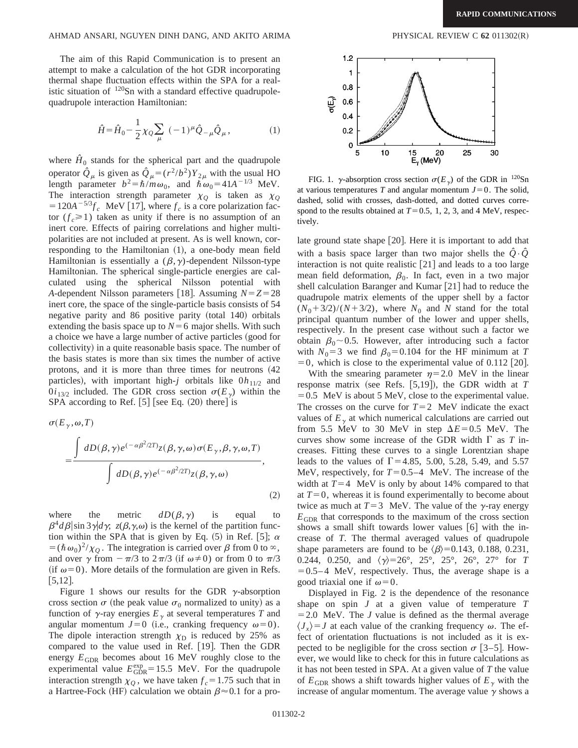## AHMAD ANSARI, NGUYEN DINH DANG, AND AKITO ARIMA PHYSICAL REVIEW C 62 011302(R)

The aim of this Rapid Communication is to present an attempt to make a calculation of the hot GDR incorporating thermal shape fluctuation effects within the SPA for a realistic situation of  $120$ Sn with a standard effective quadrupolequadrupole interaction Hamiltonian:

$$
\hat{H} = \hat{H}_0 - \frac{1}{2} \chi_Q \sum_{\mu} (-1)^{\mu} \hat{Q}_{-\mu} \hat{Q}_{\mu}, \qquad (1)
$$

where  $H_0$  stands for the spherical part and the quadrupole operator  $\hat{Q}_{\mu}$  is given as  $\hat{Q}_{\mu} = (r^2/b^2)Y_{2\mu}$  with the usual HO length parameter  $b^2 = \hbar/m\omega_0$ , and  $\tilde{\hbar}\omega_0 = 41A^{-1/3}$  MeV. The interaction strength parameter  $\chi_0$  is taken as  $\chi_0$  $=120A^{-5/3}f_c$  MeV [17], where  $f_c$  is a core polarization factor  $(f_c \ge 1)$  taken as unity if there is no assumption of an inert core. Effects of pairing correlations and higher multipolarities are not included at present. As is well known, corresponding to the Hamiltonian  $(1)$ , a one-body mean field Hamiltonian is essentially a  $(\beta, \gamma)$ -dependent Nilsson-type Hamiltonian. The spherical single-particle energies are calculated using the spherical Nilsson potential with *A*-dependent Nilsson parameters [18]. Assuming  $N=Z=28$ inert core, the space of the single-particle basis consists of 54 negative parity and 86 positive parity (total 140) orbitals extending the basis space up to  $N=6$  major shells. With such a choice we have a large number of active particles (good for collectivity) in a quite reasonable basis space. The number of the basis states is more than six times the number of active protons, and it is more than three times for neutrons  $(42)$ particles), with important high-*j* orbitals like  $0h_{11/2}$  and  $0i_{13/2}$  included. The GDR cross section  $\sigma(E_{\gamma})$  within the SPA according to Ref.  $[5]$  [see Eq.  $(20)$  there] is

$$
\sigma(E_{\gamma}, \omega, T)
$$
  
= 
$$
\frac{\int dD(\beta, \gamma) e^{(-\alpha \beta^2/2T)} z(\beta, \gamma, \omega) \sigma(E_{\gamma}, \beta, \gamma, \omega, T)}{\int dD(\beta, \gamma) e^{(-\alpha \beta^2/2T)} z(\beta, \gamma, \omega)},
$$
 (2)

where the metric  $dD(\beta, \gamma)$  is equal to  $\beta^4 d\beta$  sin 3 $\gamma$  d $\gamma$ ;  $z(\beta, \gamma, \omega)$  is the kernel of the partition function within the SPA that is given by Eq.  $(5)$  in Ref. [5];  $\alpha$  $= (\hbar \omega_0)^2 / \chi_0$ . The integration is carried over  $\beta$  from 0 to  $\infty$ , and over  $\gamma$  from  $-\pi/3$  to  $2\pi/3$  (if  $\omega \neq 0$ ) or from 0 to  $\pi/3$ (if  $\omega$ =0). More details of the formulation are given in Refs.  $[5,12]$ .

Figure 1 shows our results for the GDR  $\gamma$ -absorption cross section  $\sigma$  (the peak value  $\sigma_0$  normalized to unity) as a function of  $\gamma$ -ray energies  $E_{\gamma}$  at several temperatures *T* and angular momentum  $J=0$  (i.e., cranking frequency  $\omega=0$ ). The dipole interaction strength  $\chi_{\rm D}$  is reduced by 25% as compared to the value used in Ref. [19]. Then the GDR energy  $E_{GDR}$  becomes about 16 MeV roughly close to the experimental value  $E_{GDR}^{exp} = 15.5$  MeV. For the quadrupole interaction strength  $\chi_Q$ , we have taken  $f_c = 1.75$  such that in a Hartree-Fock (HF) calculation we obtain  $\beta \approx 0.1$  for a pro-



FIG. 1.  $\gamma$ -absorption cross section  $\sigma(E_{\gamma})$  of the GDR in <sup>120</sup>Sn at various temperatures *T* and angular momentum  $J=0$ . The solid, dashed, solid with crosses, dash-dotted, and dotted curves correspond to the results obtained at  $T=0.5$ , 1, 2, 3, and 4 MeV, respectively.

late ground state shape  $[20]$ . Here it is important to add that with a basis space larger than two major shells the  $\hat{Q} \cdot \hat{Q}$ interaction is not quite realistic  $[21]$  and leads to a too large mean field deformation,  $\beta_0$ . In fact, even in a two major shell calculation Baranger and Kumar  $[21]$  had to reduce the quadrupole matrix elements of the upper shell by a factor  $(N_0+3/2)/(N+3/2)$ , where  $N_0$  and *N* stand for the total principal quantum number of the lower and upper shells, respectively. In the present case without such a factor we obtain  $\beta_0 \sim 0.5$ . However, after introducing such a factor with  $N_0 = 3$  we find  $\beta_0 = 0.104$  for the HF minimum at *T*  $=0$ , which is close to the experimental value of 0.112 [20].

With the smearing parameter  $\eta$ =2.0 MeV in the linear response matrix (see Refs.  $[5,19]$ ), the GDR width at *T*  $=0.5$  MeV is about 5 MeV, close to the experimental value. The crosses on the curve for  $T=2$  MeV indicate the exact values of  $E<sub>y</sub>$  at which numerical calculations are carried out from 5.5 MeV to 30 MeV in step  $\Delta E = 0.5$  MeV. The curves show some increase of the GDR width  $\Gamma$  as  $T$  increases. Fitting these curves to a single Lorentzian shape leads to the values of  $\Gamma$  = 4.85, 5.00, 5.28, 5.49, and 5.57 MeV, respectively, for  $T=0.5-4$  MeV. The increase of the width at  $T=4$  MeV is only by about 14% compared to that at  $T=0$ , whereas it is found experimentally to become about twice as much at  $T=3$  MeV. The value of the  $\gamma$ -ray energy  $E<sub>GDR</sub>$  that corresponds to the maximum of the cross section shows a small shift towards lower values  $[6]$  with the increase of *T*. The thermal averaged values of quadrupole shape parameters are found to be  $\langle \beta \rangle = 0.143, 0.188, 0.231,$ 0.244, 0.250, and  $\langle \gamma \rangle = 26^{\circ}$ , 25°, 25°, 26°, 27° for *T*  $=0.5-4$  MeV, respectively. Thus, the average shape is a good triaxial one if  $\omega=0$ .

Displayed in Fig. 2 is the dependence of the resonance shape on spin *J* at a given value of temperature *T*  $=2.0$  MeV. The *J* value is defined as the thermal average  $\langle J_y \rangle = J$  at each value of the cranking frequency  $\omega$ . The effect of orientation fluctuations is not included as it is expected to be negligible for the cross section  $\sigma$  [3–5]. However, we would like to check for this in future calculations as it has not been tested in SPA. At a given value of *T* the value of  $E_{GDR}$  shows a shift towards higher values of  $E_{\gamma}$  with the increase of angular momentum. The average value  $\gamma$  shows a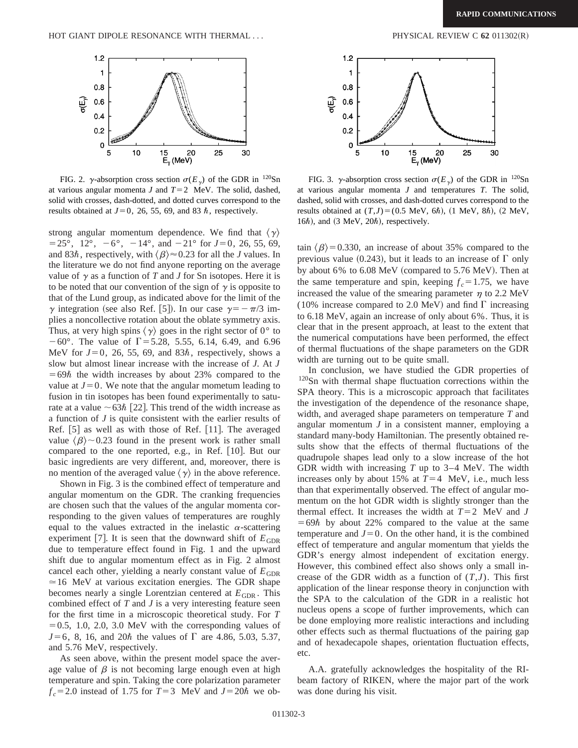

FIG. 2.  $\gamma$ -absorption cross section  $\sigma(E_{\gamma})$  of the GDR in <sup>120</sup>Sn at various angular momenta  $J$  and  $T=2$  MeV. The solid, dashed, solid with crosses, dash-dotted, and dotted curves correspond to the results obtained at  $J=0$ , 26, 55, 69, and 83  $\hbar$ , respectively.

strong angular momentum dependence. We find that  $\langle \gamma \rangle$  $=$  25 $^{\circ}$ , 12 $^{\circ}$ ,  $-6^{\circ}$ ,  $-14^{\circ}$ , and  $-21^{\circ}$  for  $J=0$ , 26, 55, 69, and 83 $\hbar$ , respectively, with  $\langle \beta \rangle \approx 0.23$  for all the *J* values. In the literature we do not find anyone reporting on the average value of  $\gamma$  as a function of *T* and *J* for Sn isotopes. Here it is to be noted that our convention of the sign of  $\gamma$  is opposite to that of the Lund group, as indicated above for the limit of the  $\gamma$  integration (see also Ref. [5]). In our case  $\gamma = -\pi/3$  implies a noncollective rotation about the oblate symmetry axis. Thus, at very high spins  $\langle \gamma \rangle$  goes in the right sector of 0° to  $-60^{\circ}$ . The value of  $\Gamma$  = 5.28, 5.55, 6.14, 6.49, and 6.96 MeV for  $J=0$ , 26, 55, 69, and 83 $\hbar$ , respectively, shows a slow but almost linear increase with the increase of *J*. At *J*  $=69\hbar$  the width increases by about 23% compared to the value at  $J=0$ . We note that the angular mometum leading to fusion in tin isotopes has been found experimentally to saturate at a value  $\sim 63\hbar$  [22]. This trend of the width increase as a function of *J* is quite consistent with the earlier results of Ref.  $[5]$  as well as with those of Ref.  $[11]$ . The averaged value  $\langle \beta \rangle$  ~ 0.23 found in the present work is rather small compared to the one reported, e.g., in Ref.  $[10]$ . But our basic ingredients are very different, and, moreover, there is no mention of the averaged value  $\langle \gamma \rangle$  in the above reference.

Shown in Fig. 3 is the combined effect of temperature and angular momentum on the GDR. The cranking frequencies are chosen such that the values of the angular momenta corresponding to the given values of temperatures are roughly equal to the values extracted in the inelastic  $\alpha$ -scattering experiment [7]. It is seen that the downward shift of  $E_{GDR}$ due to temperature effect found in Fig. 1 and the upward shift due to angular momentum effect as in Fig. 2 almost cancel each other, yielding a nearly constant value of  $E<sub>GDR</sub>$  $\simeq$  16 MeV at various excitation energies. The GDR shape becomes nearly a single Lorentzian centered at  $E_{GDR}$ . This combined effect of *T* and *J* is a very interesting feature seen for the first time in a microscopic theoretical study. For *T*  $=0.5, 1.0, 2.0, 3.0$  MeV with the corresponding values of  $J=6$ , 8, 16, and 20 $\hbar$  the values of  $\Gamma$  are 4.86, 5.03, 5.37, and 5.76 MeV, respectively.

As seen above, within the present model space the average value of  $\beta$  is not becoming large enough even at high temperature and spin. Taking the core polarization parameter  $f_c$ =2.0 instead of 1.75 for  $T=3$  MeV and  $J=20\hbar$  we ob-



FIG. 3.  $\gamma$ -absorption cross section  $\sigma(E_{\gamma})$  of the GDR in <sup>120</sup>Sn at various angular momenta *J* and temperatures *T*. The solid, dashed, solid with crosses, and dash-dotted curves correspond to the results obtained at  $(T,J) = (0.5 \text{ MeV}, 6\hbar), (1 \text{ MeV}, 8\hbar), (2 \text{ MeV},$ 16 $\hbar$ ), and (3 MeV, 20 $\hbar$ ), respectively.

tain  $\langle \beta \rangle$ =0.330, an increase of about 35% compared to the previous value (0.243), but it leads to an increase of  $\Gamma$  only by about 6% to  $6.08$  MeV (compared to  $5.76$  MeV). Then at the same temperature and spin, keeping  $f_c = 1.75$ , we have increased the value of the smearing parameter  $\eta$  to 2.2 MeV (10% increase compared to 2.0 MeV) and find  $\Gamma$  increasing to 6.18 MeV, again an increase of only about 6%. Thus, it is clear that in the present approach, at least to the extent that the numerical computations have been performed, the effect of thermal fluctuations of the shape parameters on the GDR width are turning out to be quite small.

In conclusion, we have studied the GDR properties of <sup>120</sup>Sn with thermal shape fluctuation corrections within the SPA theory. This is a microscopic approach that facilitates the investigation of the dependence of the resonance shape, width, and averaged shape parameters on temperature *T* and angular momentum *J* in a consistent manner, employing a standard many-body Hamiltonian. The presently obtained results show that the effects of thermal fluctuations of the quadrupole shapes lead only to a slow increase of the hot GDR width with increasing *T* up to 3–4 MeV. The width increases only by about 15% at  $T=4$  MeV, i.e., much less than that experimentally observed. The effect of angular momentum on the hot GDR width is slightly stronger than the thermal effect. It increases the width at  $T=2$  MeV and *J*  $=69\hbar$  by about 22% compared to the value at the same temperature and  $J=0$ . On the other hand, it is the combined effect of temperature and angular momentum that yields the GDR's energy almost independent of excitation energy. However, this combined effect also shows only a small increase of the GDR width as a function of  $(T,J)$ . This first application of the linear response theory in conjunction with the SPA to the calculation of the GDR in a realistic hot nucleus opens a scope of further improvements, which can be done employing more realistic interactions and including other effects such as thermal fluctuations of the pairing gap and of hexadecapole shapes, orientation fluctuation effects, etc.

A.A. gratefully acknowledges the hospitality of the RIbeam factory of RIKEN, where the major part of the work was done during his visit.